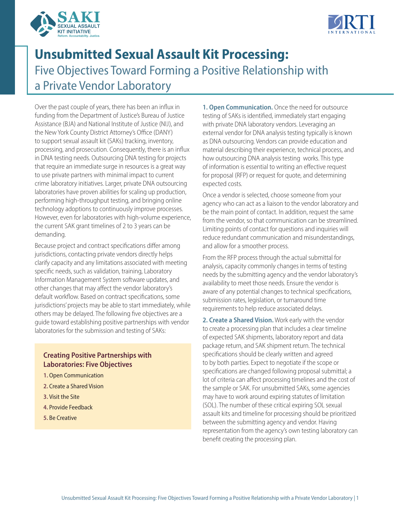



# **Unsubmitted Sexual Assault Kit Processing:**  Five Objectives Toward Forming a Positive Relationship with a Private Vendor Laboratory

Over the past couple of years, there has been an influx in funding from the Department of Justice's Bureau of Justice Assistance (BJA) and National Institute of Justice (NIJ), and the New York County District Attorney's Office (DANY) to support sexual assault kit (SAKs) tracking, inventory, processing, and prosecution. Consequently, there is an influx in DNA testing needs. Outsourcing DNA testing for projects that require an immediate surge in resources is a great way to use private partners with minimal impact to current crime laboratory initiatives. Larger, private DNA outsourcing laboratories have proven abilities for scaling up production, performing high-throughput testing, and bringing online technology adoptions to continuously improve processes. However, even for laboratories with high-volume experience, the current SAK grant timelines of 2 to 3 years can be demanding.

Because project and contract specifications differ among jurisdictions, contacting private vendors directly helps clarify capacity and any limitations associated with meeting specific needs, such as validation, training, Laboratory Information Management System software updates, and other changes that may affect the vendor laboratory's default workflow. Based on contract specifications, some jurisdictions' projects may be able to start immediately, while others may be delayed. The following five objectives are a guide toward establishing positive partnerships with vendor laboratories for the submission and testing of SAKs:

## **Creating Positive Partnerships with Laboratories: Five Objectives**

- **1.** Open Communication
- **2.** Create a Shared Vision
- **3.** Visit the Site
- **4.** Provide Feedback
- **5.** Be Creative

**1. Open Communication.** Once the need for outsource testing of SAKs is identified, immediately start engaging with private DNA laboratory vendors. Leveraging an external vendor for DNA analysis testing typically is known as DNA outsourcing. Vendors can provide education and material describing their experience, technical process, and how outsourcing DNA analysis testing works. This type of information is essential to writing an effective request for proposal (RFP) or request for quote, and determining expected costs.

Once a vendor is selected, choose someone from your agency who can act as a liaison to the vendor laboratory and be the main point of contact. In addition, request the same from the vendor, so that communication can be streamlined. Limiting points of contact for questions and inquiries will reduce redundant communication and misunderstandings, and allow for a smoother process.

From the RFP process through the actual submittal for analysis, capacity commonly changes in terms of testing needs by the submitting agency and the vendor laboratory's availability to meet those needs. Ensure the vendor is aware of any potential changes to technical specifications, submission rates, legislation, or turnaround time requirements to help reduce associated delays.

**2. Create a Shared Vision.** Work early with the vendor to create a processing plan that includes a clear timeline of expected SAK shipments, laboratory report and data package return, and SAK shipment return. The technical specifications should be clearly written and agreed to by both parties. Expect to negotiate if the scope or specifications are changed following proposal submittal; a lot of criteria can affect processing timelines and the cost of the sample or SAK. For unsubmitted SAKs, some agencies may have to work around expiring statutes of limitation (SOL). The number of these critical expiring SOL sexual assault kits and timeline for processing should be prioritized between the submitting agency and vendor. Having representation from the agency's own testing laboratory can benefit creating the processing plan.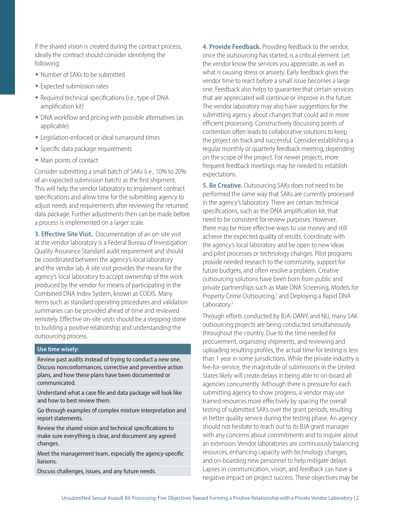If the shared vision is created during the contract process, ideally the contract should consider identifying the following:

- Number of SAKs to be submitted
- Expected submission rates
- Required technical specifications (i.e., type of DNA amplification kit)
- $\bullet$  DNA workflow and pricing with possible alternatives (as applicable)
- Legislation-enforced or ideal turnaround times
- Specific data package requirements
- Main points of contact

Consider submitting a small batch of SAKs (i.e., 10% to 20% of an expected submission batch) as the first shipment. This will help the vendor laboratory to implement contract specifications and allow time for the submitting agency to adjust needs and requirements after reviewing the returned data package. Further adjustments then can be made before a process is implemented on a larger scale.

**3. Effective Site Visit.** Documentation of an on-site visit at the vendor laboratory is a Federal Bureau of Investigation Quality Assurance Standard audit requirement and should be coordinated between the agency's local laboratory and the vendor lab. A site visit provides the means for the agency's local laboratory to accept ownership of the work produced by the vendor for means of participating in the Combined DNA Index System, known as CODIS. Many items such as standard operating procedures and validation summaries can be provided ahead of time and reviewed remotely. Effective on-site visits should be a stepping stone to building a positive relationship and understanding the outsourcing process.

#### <span id="page-1-1"></span><span id="page-1-0"></span>**Use time wisely:**

Review past audits instead of trying to conduct a new one. Discuss nonconformances, corrective and preventive action plans, and how these plans have been documented or communicated.

Understand what a case file and data package will look like and how to best review them.

Go through examples of complex mixture interpretation and report statements.

Review the shared vision and technical specifications to make sure everything is clear, and document any agreed changes.

Meet the management team, especially the agency-specific liaisons.

Discuss challenges, issues, and any future needs.

**4. Provide Feedback.** Providing feedback to the vendor, once the outsourcing has started, is a critical element. Let the vendor know the services you appreciate, as well as what is causing stress or anxiety. Early feedback gives the vendor time to react before a small issue becomes a large one. Feedback also helps to guarantee that certain services that are appreciated will continue or improve in the future. The vendor laboratory may also have suggestions for the submitting agency about changes that could aid in more efficient processing. Constructively discussing points of contention often leads to collaborative solutions to keep the project on track and successful. Consider establishing a regular monthly or quarterly feedback meeting, depending on the scope of the project. For newer projects, more frequent feedback meetings may be needed to establish expectations.

**5. Be Creative.** Outsourcing SAKs does not need to be performed the same way that SAKs are currently processed in the agency's laboratory. There are certain technical specifications, such as the DNA amplification kit, that need to be consistent for review purposes. However, there may be more effective ways to use money and still achieve the expected quality of results. Coordinate with the agency's local laboratory and be open to new ideas and pilot processes or technology changes. Pilot programs provide needed research to the community, support for future budgets, and often resolve a problem. Creative outsourcing solutions have been born from public and private partnerships such as Male DNA Screening, Models for Property Crime Outsourcing,<sup>1</sup> and Deploying a Rapid DNA Laboratory.<sup>2</sup>

Through efforts conducted by BJA, DANY, and NIJ, many SAK outsourcing projects are being conducted simultaneously throughout the country. Due to the time needed for procurement, organizing shipments, and reviewing and uploading resulting profiles, the actual time for testing is less than 1 year in some jurisdictions. While the private industry is fee-for-service, the magnitude of submissions in the United States likely will create delays in being able to on-board all agencies concurrently. Although there is pressure for each submitting agency to show progress, a vendor may use trained resources more effectively by spacing the overall testing of submitted SAKs over the grant periods, resulting in better quality service during the testing phase. An agency should not hesitate to reach out to its BJA grant manager with any concerns about commitments and to inquire about an extension. Vendor laboratories are continuously balancing resources, enhancing capacity with technology changes, and on-boarding new personnel to help mitigate delays. Lapses in communication, vision, and feedback can have a negative impact on project success. These objectives may be